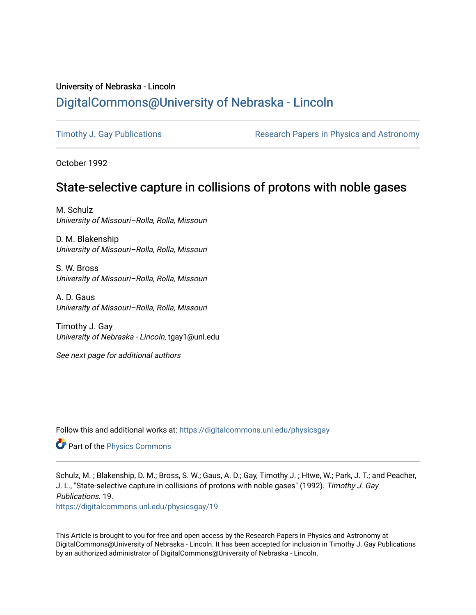## University of Nebraska - Lincoln [DigitalCommons@University of Nebraska - Lincoln](https://digitalcommons.unl.edu/)

[Timothy J. Gay Publications](https://digitalcommons.unl.edu/physicsgay) **Research Papers in Physics and Astronomy** 

October 1992

# State-selective capture in collisions of protons with noble gases

M. Schulz University of Missouri–Rolla, Rolla, Missouri

D. M. Blakenship University of Missouri–Rolla, Rolla, Missouri

S. W. Bross University of Missouri–Rolla, Rolla, Missouri

A. D. Gaus University of Missouri–Rolla, Rolla, Missouri

Timothy J. Gay University of Nebraska - Lincoln, tgay1@unl.edu

See next page for additional authors

Follow this and additional works at: [https://digitalcommons.unl.edu/physicsgay](https://digitalcommons.unl.edu/physicsgay?utm_source=digitalcommons.unl.edu%2Fphysicsgay%2F19&utm_medium=PDF&utm_campaign=PDFCoverPages)

**Part of the [Physics Commons](http://network.bepress.com/hgg/discipline/193?utm_source=digitalcommons.unl.edu%2Fphysicsgay%2F19&utm_medium=PDF&utm_campaign=PDFCoverPages)** 

Schulz, M. ; Blakenship, D. M.; Bross, S. W.; Gaus, A. D.; Gay, Timothy J. ; Htwe, W.; Park, J. T.; and Peacher, J. L., "State-selective capture in collisions of protons with noble gases" (1992). Timothy J. Gay Publications. 19.

[https://digitalcommons.unl.edu/physicsgay/19](https://digitalcommons.unl.edu/physicsgay/19?utm_source=digitalcommons.unl.edu%2Fphysicsgay%2F19&utm_medium=PDF&utm_campaign=PDFCoverPages) 

This Article is brought to you for free and open access by the Research Papers in Physics and Astronomy at DigitalCommons@University of Nebraska - Lincoln. It has been accepted for inclusion in Timothy J. Gay Publications by an authorized administrator of DigitalCommons@University of Nebraska - Lincoln.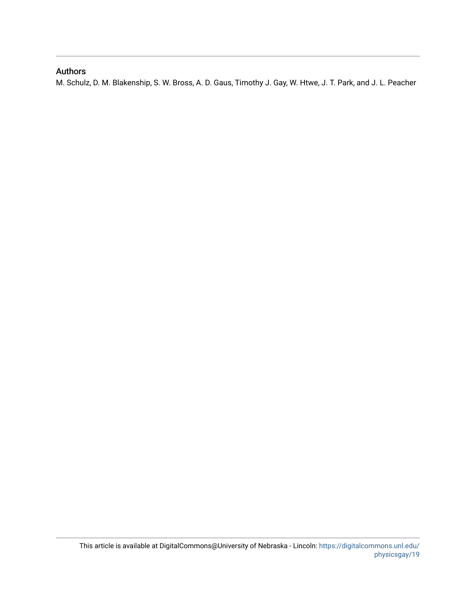### Authors

M. Schulz, D. M. Blakenship, S. W. Bross, A. D. Gaus, Timothy J. Gay, W. Htwe, J. T. Park, and J. L. Peacher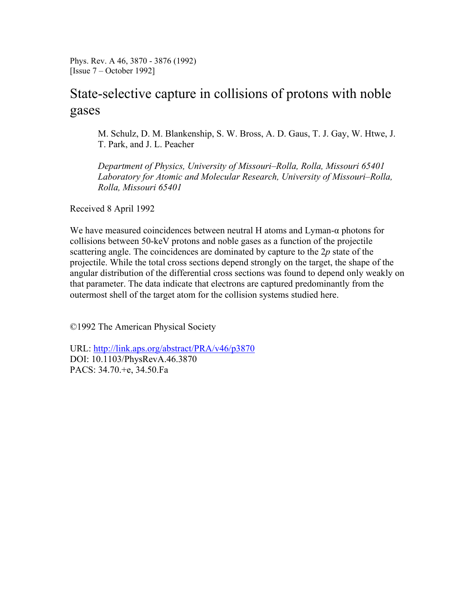Phys. Rev. A 46, 3870 - 3876 (1992) [Issue 7 – October 1992]

# State-selective capture in collisions of protons with noble gases

M. Schulz, D. M. Blankenship, S. W. Bross, A. D. Gaus, T. J. Gay, W. Htwe, J. T. Park, and J. L. Peacher

*Department of Physics, University of Missouri–Rolla, Rolla, Missouri 65401 Laboratory for Atomic and Molecular Research, University of Missouri–Rolla, Rolla, Missouri 65401*

Received 8 April 1992

We have measured coincidences between neutral H atoms and Lyman-α photons for collisions between 50-keV protons and noble gases as a function of the projectile scattering angle. The coincidences are dominated by capture to the 2*p* state of the projectile. While the total cross sections depend strongly on the target, the shape of the angular distribution of the differential cross sections was found to depend only weakly on that parameter. The data indicate that electrons are captured predominantly from the outermost shell of the target atom for the collision systems studied here.

©1992 The American Physical Society

URL: http://link.aps.org/abstract/PRA/v46/p3870 DOI: 10.1103/PhysRevA.46.3870 PACS: 34.70.+e, 34.50.Fa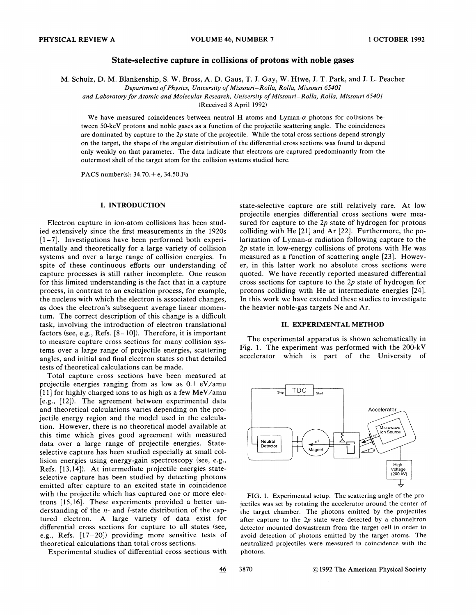#### **State-selective capture in collisions of protons with noble gases**

M. Schulz, D. M. Blankenship, S. W. Bross, A. D. Gaus, T. J. Gay, W. Htwe, J. T. Park, and J. L. Peacher

*Department of Physics, University of Missouri-Rolla, Rolla, Missouri 65401* 

*and Laboratory for Atomic and Molecular Research, University of Missouri-Rolla, Rolla, Missouri 65401* 

(Received 8 April 1992)

We have measured coincidences between neutral H atoms and Lyman- $\alpha$  photons for collisions between 50-keV protons and noble gases as a function of the projectile scattering angle. The coincidences are dominated by capture to the *2p* state of the projectile. While the total cross sections depend strongly on the target, the shape of the angular distribution of the differential cross sections was found to depend only weakly on that parameter. The data indicate that electrons are captured predominantly from the outermost shell of the target atom for the collision systems studied here.

PACS number(s):  $34.70.+e$ ,  $34.50.Fa$ 

#### **I. INTRODUCTION**

Electron capture in ion-atom collisions has been studied extensively since the first measurements in the 1920s  $[1-7]$ . Investigations have been performed both experimentally and theoretically for a large variety of collision systems and over a large range of collision energies. In spite of these continuous efforts our understanding of capture processes is still rather incomplete. One reason for this limited understanding is the fact that in a capture process, in contrast to an excitation process, for example, the nucleus with which the electron is associated changes, as does the electron's subsequent average linear momentum. The correct description of this change is a difficult task, involving the introduction of electron translational factors (see, e.g., Refs.  $[8-10]$ ). Therefore, it is important to measure capture cross sections for many collision systems over a large range of projectile energies, scattering angles, and initial and final electron states so that detailed tests of theoretical calculations can be made.

Total capture cross sections have been measured at projectile energies ranging from as low as 0.1 eV/amu [11] for highly charged ions to as high as a few MeV/amu [e.g., [12]). The agreement between experimental data and theoretical calculations varies depending on the projectile energy region and the model used in the calculation. However, there is no theoretical model available at this time which gives good agreement with measured data over a large range of projectile energies. Stateselective capture has been studied especially at small collision energies using energy-gain spectroscopy (see, e.g., Refs. [13,14]). At intermediate projectile energies stateselective capture has been studied by detecting photons emitted after capture to an excited state in coincidence with the projectile which has captured one or more electrons [15,16]. These experiments provided a better understanding of the n- and I-state distribution of the captured electron. A large variety of data exist for differential cross sections for capture to all states (see, e.g., Refs. [17-201) providing more sensitive tests of theoretical calculations than total cross sections.

Experimental studies of differential cross sections with

state-selective capture are still relatively rare. At low projectile energies differential cross sections were measured for capture to the  $2p$  state of hydrogen for protons colliding with He [21] and Ar [22]. Furthermore, the polarization of Lyman- $\alpha$  radiation following capture to the  $2p$  state in low-energy collisions of protons with He was measured as a function of scattering angle [23]. However, in this latter work no absolute cross sections were quoted. We have recently reported measured differential cross sections for capture to the 2p state of hydrogen for protons colliding with He at intermediate energies [24]. In this work we have extended these studies to investigate the heavier noble-gas targets Ne and Ar.

#### **11. EXPERIMENTAL METHOD**

The experimental apparatus is shown schematically in Fig. 1. The experiment was performed with the 200-kV accelerator which is part of the University of



FIG. 1. Experimental setup. The scattering angle of the projectiles was set by rotating the accelerator around the center of the target chamber. The photons emitted by the projectiles after capture to the *2p* state were detected by a channeltron detector mounted downstream from the target cell in order to avoid detection of photons emitted by the target atoms. The neutralized projectiles were measured in coincidence with the photons.

46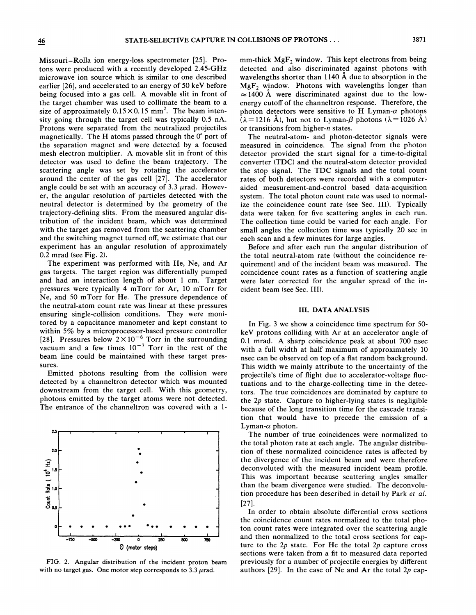Missouri-Rolla ion energy-loss spectrometer [25]. Protons were produced with a recently developed 2.45-GHz microwave ion source which is similar to one described earlier [26], and accelerated to an energy of 50 keV before being focused into a gas cell. A movable slit in front of the target chamber was used to collimate the beam to a size of approximately  $0.15 \times 0.15$  mm<sup>2</sup>. The beam intensity going through the target cell was typically 0.5 nA. Protons were separated from the neutralized projectiles magnetically. The H atoms passed through the **0"** port of the separation magnet and were detected by a focused mesh electron multiplier. A movable slit in front of this detector was used to define the beam trajectory. The scattering angle was set by rotating the accelerator around the center of the gas cell [27]. The accelerator angle could be set with an accuracy of 3.3  $\mu$ rad. However, the angular resolution of particles detected with the neutral detector is determined by the geometry of the trajectory-defining slits. From the measured angular distribution of the incident beam, which was determined with the target gas removed from the scattering chamber and the switching magnet turned off, we estimate that our experiment has an angular resolution of approximately 0.2 mrad (see Fig. 2).

The experiment was performed with He, Ne, and Ar gas targets. The target region was differentially pumped and had an interaction length of about 1 cm. Target pressures were typically 4 mTorr for Ar, 10 mTorr for Ne, and 50 mTorr for He. The pressure dependence of the neutral-atom count rate was linear at these pressures ensuring single-collision conditions. They were monitored by a capacitance manometer and kept constant to within 5% by a microprocessor-based pressure controller [28]. Pressures below  $2 \times 10^{-6}$  Torr in the surrounding vacuum and a few times  $10^{-7}$  Torr in the rest of the beam line could be maintained with these target pressures.

Emitted photons resulting from the collision were detected by a channeltron detector which was mounted downstream from the target cell. With this geometry, photons emitted by the target atoms were not detected. The entrance of the channeltron was covered with a 1-



FIG. 2. Angular distribution of the incident proton beam with no target gas. One motor step corresponds to  $3.3 \mu$ rad.

mm-thick  $MgF_2$  window. This kept electrons from being detected and also discriminated against photons with wavelengths shorter than 1140 **A** due to absorption in the  $MgF<sub>2</sub>$  window. Photons with wavelengths longer than  $\approx$  1400 Å were discriminated against due to the lowenergy cutoff of the channeltron response. Therefore, the photon detectors were sensitive to H Lyman- $\alpha$  photons  $(\lambda=1216 \text{ Å})$ , but not to Lyman- $\beta$  photons ( $\lambda=1026 \text{ Å}$ ) or transitions from higher-n states.

The neutral-atom- and photon-detector signals were measured in coincidence. The signal from the photon detector provided the start signal for a time-to-digital converter (TDC) and the neutral-atom detector provided the stop signal. The TDC signals and the total count rates of both detectors were recorded with a computeraided measurement-and-control based data-acquisition system. The total photon count rate was used to normalize the coincidence count rate (see Sec. III). Typically data were taken for five scattering angles in each run. The collection time could be varied for each angle. For small angles the collection time was typically 20 sec in each scan and a few minutes for large angles.

Before and after each run the angular distribution of the total neutral-atom rate (without the coincidence reauirement) and of the incident beam was measured. The coincidence count rates as a function of scattering angle were later corrected for the angular spread of the incident beam (see Sec. 111).

#### **111. DATA ANALYSIS**

In Fig. 3 we show a coincidence time spectrum for 50 keV protons colliding with Ar at an accelerator angle of 0.1 mrad. A sharp coincidence peak at about 700 nsec with a full width at half maximum of approximately 10 nsec can be observed on top of a flat random background. This width we mainly attribute to the uncertainty of the projectile's time of flight due to accelerator-voltage fluctuations and to the charge-collecting time in the detectors. The true coincidences are dominated by capture to the 2p state. Capture to higher-lying states is negligible because of the long transition time for the cascade transition that would have to precede the emission of a Lyman- $\alpha$  photon.

The number of true coincidences were normalized to the total photon rate at each angle. The angular distribution of these normalized coincidence rates is affected by the divergence of the incident beam and were therefore deconvoluted with the measured incident beam profile. This was important because scattering angles smaller than the beam divergence were studied. The deconvolution procedure has been described in detail by Park *et al.*  [271.

In order to obtain absolute differential cross sections the coincidence count rates normalized to the total photon count rates were integrated over the scattering angle and then normalized to the total cross sections for capture to the  $2p$  state. For He the total  $2p$  capture cross sections were taken from a fit to measured data reported previously for a number of projectile energies by different authors  $[29]$ . In the case of Ne and Ar the total  $2p$  cap-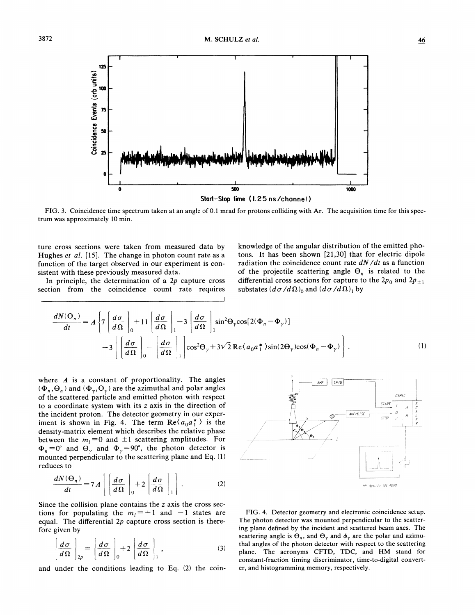125 Coincidence Events (arb units) 100  $\overline{r}$ 50  $\mathbf{z}$ **I I** <sup>I</sup> **0 500 loo0**  Start-Stop time (1.25 ns/channel)

FIG. **3.** Coincidence time spectrum taken at an angle of 0.1 mrad for protons colliding with Ar. The acquisition time for this spectrum was approximately 10 min.

Hughes *et al.* [15]. The change in photon count rate as a tons. It has been shown [21,30] that for electric dipole function of the target observed in our experiment is con-<br>radiation the coincidence count rate  $dN/dt$  as a function of the target observed in our experiment is con-

section from the coincidence count rate requires substates  $(d\sigma/d\Omega)$  and  $(d\sigma/d\Omega)$ , by

ture cross sections were taken from measured data by knowledge of the angular distribution of the emitted pho-<br>Hughes et al. [15]. The change in photon count rate as a tons. It has been shown [21,30] that for electric dip sistent with these previously measured data. of the projectile scattering angle  $\Theta_n$  is related to the In principle, the determination of a 2p capture cross differential cross sections for capture to the 2p<sub>0</sub> and 2p<sub>+1</sub> differential cross sections for capture to the  $2p_0$  and  $2p_{\pm 1}$ 

$$
\frac{dN(\Theta_n)}{dt} = A \left\{ 7 \left[ \frac{d\sigma}{d\Omega} \right]_0 + 11 \left[ \frac{d\sigma}{d\Omega} \right]_1 - 3 \left[ \frac{d\sigma}{d\Omega} \right]_1 \sin^2 \Theta_\gamma \cos[2(\Phi_n - \Phi_\gamma)] - 3 \left[ \left[ \frac{d\sigma}{d\Omega} \right]_0 - \left[ \frac{d\sigma}{d\Omega} \right]_1 \right] \cos^2 \Theta_\gamma + 3\sqrt{2} \operatorname{Re} \langle a_0 a_1^* \rangle \sin(2\Theta_\gamma) \cos(\Phi_n - \Phi_\gamma) \right\}.
$$
\n(1)

where *A* is a constant of proportionality. The angles  $(\Phi_n, \Theta_n)$  and  $(\Phi_{\nu}, \Theta_{\nu})$  are the azimuthal and polar angles of the scattered particle and emitted photon with respect to a coordinate system with its *z* axis in the direction of the incident proton. The detector geometry in our experiment is shown in Fig. 4. The term  $\text{Re}\langle a_0 a_1^* \rangle$  is the density-matrix element which describes the relative phase between the  $m_l = 0$  and  $\pm 1$  scattering amplitudes. For  $\Phi_n=0^\circ$  and  $\Theta_\gamma$  and  $\Phi_\gamma=90^\circ$ , the photon detector is mounted perpendicular to the scattering plane and Eq. (1) reduces to

$$
\frac{dN(\Theta_n)}{dt} = 7 A \left[ \left( \frac{d\sigma}{d\Omega} \right)_0 + 2 \left( \frac{d\sigma}{d\Omega} \right)_1 \right].
$$
 (2)

Since the collision plane contains the z axis the cross sections for populating the  $m_l = +1$  and  $-1$  states are equal. The differential *2p* capture cross section is therefore given by

$$
\left[\frac{d\sigma}{d\Omega}\right]_{2p} = \left[\frac{d\sigma}{d\Omega}\right]_{0} + 2\left[\frac{d\sigma}{d\Omega}\right]_{1},
$$
\n(3)

and under the conditions leading to Eq. (2) the coin-



FIG. 4. Detector geometry and electronic coincidence setup. The photon detector was mounted perpendicular to the scattering plane defined by the incident and scattered beam axes. The scattering angle is  $\Theta_n$ , and  $\Theta_\gamma$  and  $\phi_\gamma$  are the polar and azimuthal angles of the photon detector with respect to the scattering plane. The acronyms CFTD, TDC, and HM stand for constant-fraction timing discriminator, time-to-digital converter, and histogramming memory, respectively.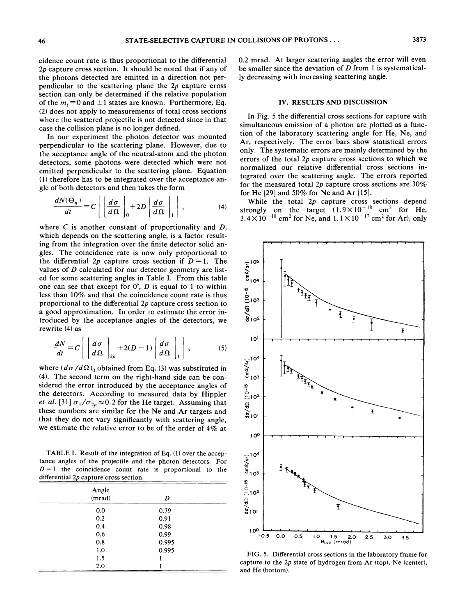cidence count rate is thus proportional to the differential 2p capture cross section. It should be noted that if any of the photons detected are emitted in a direction not perpendicular to the scattering plane the 2p capture cross section can only be determined if the relative population of the  $m_l = 0$  and  $\pm 1$  states are known. Furthermore, Eq. (2) does not apply to measurements of total cross sections where the scattered projectile is not detected since in that case the collision plane is no longer defined.

In our experiment the photon detector was mounted perpendicular to the scattering plane. However, due to the acceptance angle of the neutral-atom and the photon detectors, some photons were detected which were not emitted perpendicular to the scattering plane. Equation (1) therefore has to be integrated over the acceptance angle of both detectors and then takes the form

$$
\frac{dN(\Theta_n)}{dt} = C \left[ \left( \frac{d\sigma}{d\Omega} \right)_0 + 2D \left( \frac{d\sigma}{d\Omega} \right)_1 \right],
$$
 (4)

where  $C$  is another constant of proportionality and  $D$ , which depends on the scattering angle, is a factor resulting from the integration over the finite detector solid angles. The coincidence rate is now only proportional to the differential 2p capture cross section if  $D = 1$ . The values of D calculated for our detector geometry are listed for some scattering angles in Table I. From this table one can see that except for **0",** D is equal to 1 to within less than 10% and that the coincidence count rate is thus proportional to the differential  $2p$  capture cross section to a good approximation. In order to estimate the error introduced by the acceptance angles of the detectors, we rewrite (4) as

$$
\frac{dN}{dt} = C \left[ \left( \frac{d\sigma}{d\Omega} \right)_{2p} + 2(D-1) \left( \frac{d\sigma}{d\Omega} \right)_1 \right],
$$
 (5)

where  $(d\sigma/d\Omega)_{0}$  obtained from Eq. (3) was substituted in **(4).** The second term on the right-hand side can be considered the error introduced by the acceptance angles of the detectors. According to measured data by Hippler *et al.* [31]  $\sigma_1/\sigma_{2p} \approx 0.2$  for the He target. Assuming that these numbers are similar for the Ne and Ar targets and that they do not vary significantly with scattering angle, we estimate the relative error to be of the order of 4% at

TABLE I. Result of the integration of Eq. (1) over the acceptance angles of the projectile and the photon detectors. For  $D = 1$  the coincidence count rate is proportional to the differential *2p* capture cross section.

| Angle<br>(mrad) | D     |  |
|-----------------|-------|--|
| 0.0             | 0.79  |  |
| 0.2             | 0.91  |  |
| 0.4             | 0.98  |  |
| 0.6             | 0.99  |  |
| 0.8             | 0.995 |  |
| 1.0             | 0.995 |  |
| 1.5             |       |  |
| 2.0             |       |  |

0.2 mrad. At larger scattering angles the error will even be smaller since the deviation of  $D$  from 1 is systematically decreasing with increasing scattering angle.

#### **IV. RESULTS AND DISCUSSION**

In Fig. 5 the differential cross sections for capture with simultaneous emission of a photon are plotted as a function of the laboratory scattering angle for He, Ne, and Ar, respectively. The error bars show statistical errors only. The systematic errors are mainly determined by the errors of the total 2p capture cross sections to which we normalized our relative differential cross sections integrated over the scattering angle. The errors reported for the measured total 2p capture cross sections are  $30\%$ for He [29] and 50% for Ne and Ar [15].

While the total  $2p$  capture cross sections depend strongly on the target  $(1.9\times10^{-18} \text{ cm}^2 \text{ for He},$  $3.4 \times 10^{-18}$  cm<sup>2</sup> for Ne, and  $1.1 \times 10^{-17}$  cm<sup>2</sup> for Ar), only



**FIG. 5.** Differential cross sections in the laboratory frame for capture to the *2p* state of hydrogen from Ar (top), Ne (center), and He (bottom).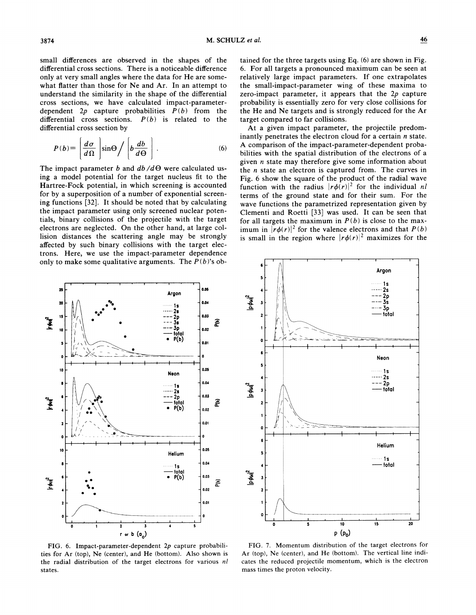small differences are observed in the shapes of the differential cross sections. There is a noticeable difference only at very small angles where the data for He are somewhat flatter than those for Ne and Ar. In an attempt to understand the similarity in the shape of the differential cross sections, we have calculated impact-parameterdependent  $2p$  capture probabilities  $P(b)$  from the differential cross sections.  $P(b)$  is related to the differential cross section by

$$
P(b) = \left[\frac{d\sigma}{d\Omega}\right] \sin\Theta / \left[b\frac{db}{d\Theta}\right].
$$
 (6)

The impact parameter b and  $db/d\Theta$  were calculated using a model potential for the target nucleus fit to the Hartree-Fock potential, in which screening is accounted for by a superposition of a number of exponential screening functions [32]. It should be noted that by calculating the impact parameter using only screened nuclear potentials, binary collisions of the projectile with the target electrons are neglected. On the other hand, at large collision distances the scattering angle may be strongly affected by such binary collisions with the target electrons. Here, we use the impact-parameter dependence only to make some qualitative arguments. The  $P(b)$ 's ob-

**0.M Argon**  0.04 0.03 15 **TWA**  $\frac{2p}{3s}$ ē  $rac{3p}{10!q}$ 0.02  $P(b)$ 0.01 0.05 10 **Neon**  0.04  $0.03$ **TAN** Ē total  $0.02$  $0.01$ ó 0.05 Helium  $0.04$ total  $0.03$ Irani<sup>2</sup> ۾م  $0.02$ 0.01  $\overline{\mathbf{2}}$  $\overline{\mathbf{3}}$ 

FIG. 6. Impact-parameter-dependent *2p* capture probabilities for Ar (top), Ne (center), and He (bottom). Also shown is the radial distribution of the target electrons for various *nl*  states.

tained for the three targets using Eq. (6) are shown in Fig. 6. For all targets a pronounced maximum can be seen at relatively large impact parameters. If one extrapolates the small-impact-parameter wing of these maxima to zero-impact parameter, it appears that the *2p* capture probability is essentially zero for very close collisions for the He and Ne targets and is strongly reduced for the Ar target compared to far collisions.

At a given impact parameter, the projectile predominantly penetrates the electron cloud for a certain  $n$  state. **A** comparison of the impact-parameter-dependent probabilities with the spatial distribution of the electrons of a given **n** state may therefore give some information about the *n* state an electron is captured from. The curves in Fig. 6 show the square of the product of the radial wave function with the radius  $|r\phi(r)|^2$  for the individual *nl* terms of the ground state and for their sum. For the wave functions the parametrized representation given by Clementi and Roetti [33] was used. It can be seen that for all targets the maximum in  $P(b)$  is close to the maximum in  $|r\phi(r)|^2$  for the valence electrons and that  $P(b)$ is small in the region where  $|r\phi(r)|^2$  maximizes for the

FIG. 7. Momentum distribution of the target electrons for Ar (top), Ne (center), and He (bottom). The vertical line indicates the reduced projectile momentum, which is the electron mass times the proton velocity.



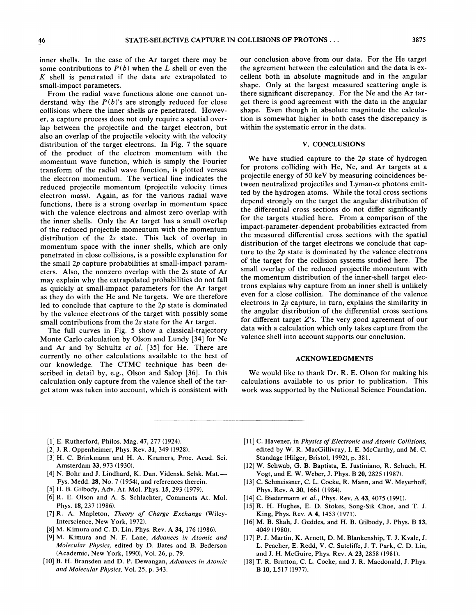inner shells. In the case of the Ar target there may be some contributions to  $P(b)$  when the L shell or even the *K* shell is penetrated if the data are extrapolated to small-impact parameters.

From the radial wave functions alone one cannot understand why the  $P(b)$ 's are strongly reduced for close collisions where the inner shells are penetrated. However, a capture process does not only require a spatial overlap between the projectile and the target electron, but also an overlap of the projectile velocity with the velocity distribution of the target electrons. In Fig. 7 the square of the product of the electron momentum with the momentum wave function, which is simply the Fourier transform of the radial wave function, is plotted versus the electron momentum. The vertical line indicates the reduced projectile momentum (projectile velocity times electron mass). Again, as for the various radial wave functions, there is a strong overlap in momentum space with the valence electrons and almost zero overlap with the inner shells. Only the Ar target has a small overlap of the reduced projectile momentum with the momentum distribution of the 2s state. This lack of overlap in momentum space with the inner shells, which are only penetrated in close collisions, is a possible explanation for the small 2p capture probabilities at small-impact parameters. Also, the nonzero overlap with the 2s state of Ar may explain why the extrapolated probabilities do not fall as quickly at small-impact parameters for the Ar target as they do with the He and Ne targets. We are therefore led to conclude that capture to the 2p state is dominated by the valence electrons of the target with possibly some small contributions from the 2s state for the Ar target.

The full curves in Fig. 5 show a classical-trajectory Monte Carlo calculation by Olson and Lundy **[34]** for Ne and Ar and by Schultz et *al.* **[35]** for He. There are currently no other calculations available to the best of our knowledge. The CTMC technique has been described in detail by, e.g., Olson and Salop *[36].* In this calculation only capture from the valence shell of the target atom was taken into account, which is consistent with

our conclusion above from our data. For the He target the agreement between the calculation and the data is excellent both in absolute magnitude and in the angular shape. Only at the largest measured scattering angle is there significant discrepancy. For the Ne and the Ar target there is good agreement with the data in the angular shape. Even though in absolute magnitude the calculation is somewhat higher in both cases the discrepancy is within the systematic error in the data.

#### V. CONCLUSIONS

We have studied capture to the  $2p$  state of hydrogen for protons colliding with He, Ne, and Ar targets at a projectile energy of 50 keV by measuring coincidences between neutralized projectiles and Lyman- $\alpha$  photons emitted by the hydrogen atoms. While the total cross sections depend strongly on the target the angular distribution of the differential cross sections do not differ significantly for the targets studied here. From a comparison of the impact-parameter-dependent probabilities extracted from the measured differential cross sections with the spatial distribution of the target electrons we conclude that capture to the 2p state is dominated by the valence electrons of the target for the collision systems studied here. The small overlap of the reduced projectile momentum with the momentum distribution of the inner-shell target electrons explains why capture from an inner shell is unlikely even for a close collision. The dominance of the valence electrons in  $2p$  capture, in turn, explains the similarity in the angular distribution of the differential cross sections for different target  $Z$ 's. The very good agreement of our data with a calculation which only takes capture from the valence shell into account supports our conclusion.

#### ACKNOWLEDGMENTS

We would like to thank Dr. R. E. Olson for making his calculations available to us prior to publication. This work was supported by the National Science Foundation.

- [l] E. Rutherford, Philos. Mag. **47,** 277 (1924).
- [2] J. R. Oppenheimer, Phys. Rev. **31,** 349 (1928).
- [3] H. C. Brinkmann and H. A. Kramers, Proc. Acad. Sci. Amsterdam **33,** 973 (1930).
- [4] N. Bohr and J. Lindhard, K. Dan. Vidensk. Selsk. Mat.-Fys. Medd. 28, No. 7 (1954), and references therein.
- [5] H. B. Gilbody, Adv. At. Mol. Phys. **15,** 293 (1979).
- [6] R. E. Olson and A. S. Schlachter, Comments At. Mol. Phys. 18, 237 (1986).
- [7] R. A. Mapleton, *Theory of Charge Exchange* (Wiley-Interscience, New York, 1972).
- [8] M. Kimura and C. D. Lin, Phys. Rev. A **34,** 176 (1986).
- [9] M. Kimura and N. F. Lane, *Advances in Atomic and Molecular Physics,* edited by *D.* Bates and B. Bederson (Academic, New York, 1990), Vol. 26, p. 79.
- [lo] B. H. Bransden and D. P. Dewangan, *Advances in Atomic and Molecular Physics,* Vol. 25, p. 343.
- [ll] C. Havener, in *Physics of Electronic and Atomic Collisions,*  edited by *W.* R. MacGillivray, I. E. McCarthy, and M. C. Standage (Hilger, Bristol, 1992), p. 381.
- 1121 W. Schwab, G. B. Baptista, E. Justiniano, R. Schuch, H. Vogt, and E. W. Weber, J. Phys. B 20, 2825 (1987).
- [13] C. Schmeissner, C. L. Cocke, R. Mann, and W. Meyerhoff, Phys. Rev. A **30,** 1661 (1984).
- [14] C. Biedermann *et al.,* Phys. Rev. A **43,** 4075 (1991).
- 1151 R. H. Hughes, E. D. Stokes, Song-Sik Choe, and T. J. King, Phys. Rev. **A 4,** 1453 (1971).
- 1161 M. B. Shah, J. Geddes, and H. B. Gilbody, J. Phys. B **13,**  4049 (1980).
- 1171 P. J. Martin, K. Arnett, D. M. Blankenship, T. J. Kvale, J. L. Peacher, E. Redd, V. C. Sutcliffe, J. T. Park, C. D. Lin, and J. H. McGuire, Phys. Rev. A 23, 2858 (1981).
- [18] T. R. Bratton, **C.** L. Cocke, and J. R. Macdonald, J. Phys. B 10, L517 (1977).